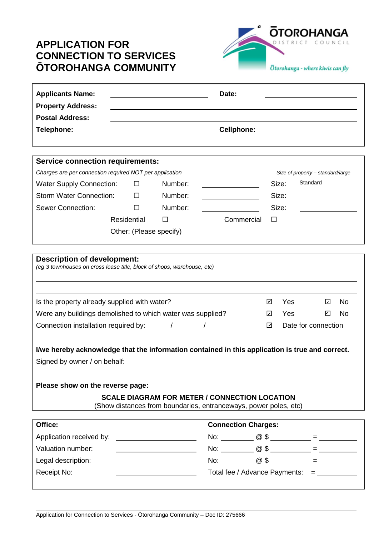## **APPLICATION FOR CONNECTION TO SERVICES ŌTOROHANGA COMMUNITY**



| <b>Applicants Name:</b><br><b>Property Address:</b>                                                                                                                                                                                                                                                                                                                                                                                                               |             |  |                                                    | Date:                                             |   |                                   |                                                                                                                       |  |  |
|-------------------------------------------------------------------------------------------------------------------------------------------------------------------------------------------------------------------------------------------------------------------------------------------------------------------------------------------------------------------------------------------------------------------------------------------------------------------|-------------|--|----------------------------------------------------|---------------------------------------------------|---|-----------------------------------|-----------------------------------------------------------------------------------------------------------------------|--|--|
| <b>Postal Address:</b>                                                                                                                                                                                                                                                                                                                                                                                                                                            |             |  |                                                    |                                                   |   |                                   |                                                                                                                       |  |  |
| <b>Telephone:</b>                                                                                                                                                                                                                                                                                                                                                                                                                                                 |             |  |                                                    | <b>Cellphone:</b>                                 |   |                                   | <u> 1989 - John Stein, mars and de Branch and de Branch and de Branch and de Branch and de Branch and de Branch a</u> |  |  |
|                                                                                                                                                                                                                                                                                                                                                                                                                                                                   |             |  |                                                    |                                                   |   |                                   |                                                                                                                       |  |  |
| <b>Service connection requirements:</b>                                                                                                                                                                                                                                                                                                                                                                                                                           |             |  |                                                    |                                                   |   |                                   |                                                                                                                       |  |  |
| Charges are per connection required NOT per application                                                                                                                                                                                                                                                                                                                                                                                                           |             |  |                                                    |                                                   |   | Size of property - standard/large |                                                                                                                       |  |  |
| <b>Water Supply Connection:</b>                                                                                                                                                                                                                                                                                                                                                                                                                                   | $\Box$      |  | Number:                                            | <u> 1980 - Johann Barnett, fransk politiker (</u> |   | Size:                             | Standard                                                                                                              |  |  |
| <b>Storm Water Connection:</b>                                                                                                                                                                                                                                                                                                                                                                                                                                    | $\Box$      |  | Number:                                            |                                                   |   | Size:                             |                                                                                                                       |  |  |
| <b>Sewer Connection:</b>                                                                                                                                                                                                                                                                                                                                                                                                                                          | $\Box$      |  | Number:                                            |                                                   |   | Size:                             |                                                                                                                       |  |  |
|                                                                                                                                                                                                                                                                                                                                                                                                                                                                   | Residential |  | $\Box$                                             | Commercial                                        | □ |                                   |                                                                                                                       |  |  |
|                                                                                                                                                                                                                                                                                                                                                                                                                                                                   |             |  |                                                    |                                                   |   |                                   |                                                                                                                       |  |  |
|                                                                                                                                                                                                                                                                                                                                                                                                                                                                   |             |  |                                                    |                                                   |   |                                   |                                                                                                                       |  |  |
| <b>Description of development:</b><br>(eg 3 townhouses on cross lease title, block of shops, warehouse, etc)<br>Is the property already supplied with water?<br>$\blacktriangledown$<br><b>Yes</b><br>No<br>☑<br>Were any buildings demolished to which water was supplied?<br>Yes<br>☑<br>No<br>☑<br>Date for connection<br>☑<br>I/we hereby acknowledge that the information contained in this application is true and correct.<br>Signed by owner / on behalf: |             |  |                                                    |                                                   |   |                                   |                                                                                                                       |  |  |
| Please show on the reverse page:                                                                                                                                                                                                                                                                                                                                                                                                                                  |             |  |                                                    |                                                   |   |                                   |                                                                                                                       |  |  |
| <b>SCALE DIAGRAM FOR METER / CONNECTION LOCATION</b><br>(Show distances from boundaries, entranceways, power poles, etc)                                                                                                                                                                                                                                                                                                                                          |             |  |                                                    |                                                   |   |                                   |                                                                                                                       |  |  |
| Office:<br><b>Connection Charges:</b>                                                                                                                                                                                                                                                                                                                                                                                                                             |             |  |                                                    |                                                   |   |                                   |                                                                                                                       |  |  |
| Application received by:                                                                                                                                                                                                                                                                                                                                                                                                                                          |             |  |                                                    |                                                   |   |                                   |                                                                                                                       |  |  |
| Valuation number:                                                                                                                                                                                                                                                                                                                                                                                                                                                 |             |  |                                                    |                                                   |   |                                   |                                                                                                                       |  |  |
| Legal description:                                                                                                                                                                                                                                                                                                                                                                                                                                                |             |  | <u> 1980 - Johann Barbara, martxa alemani</u> ar a |                                                   |   |                                   |                                                                                                                       |  |  |
| Receipt No:                                                                                                                                                                                                                                                                                                                                                                                                                                                       |             |  |                                                    | Total fee / Advance Payments: = __________        |   |                                   |                                                                                                                       |  |  |
|                                                                                                                                                                                                                                                                                                                                                                                                                                                                   |             |  |                                                    |                                                   |   |                                   |                                                                                                                       |  |  |